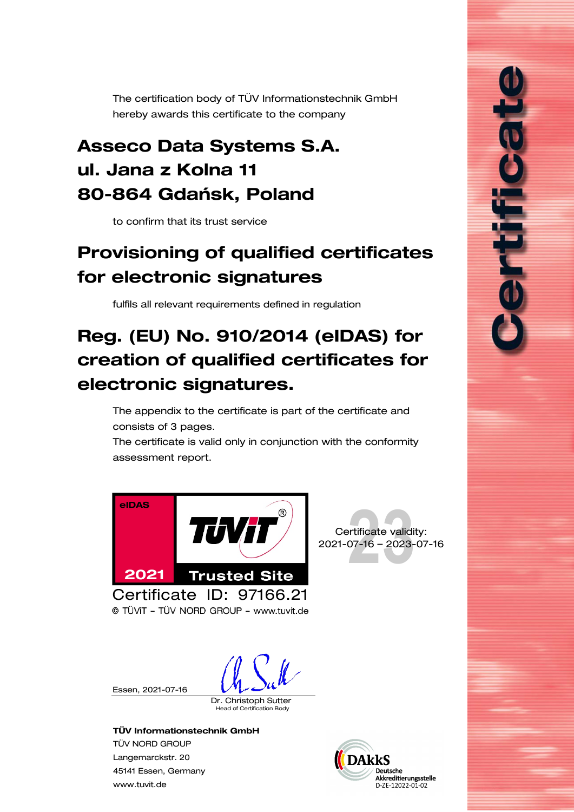<span id="page-0-0"></span>The certification body of TÜV Informationstechnik GmbH hereby awards this certificate to the company

## Asseco Data Systems S.A. ul. Jana z Kolna 11 80-864 Gdańsk, Poland

to confirm that its trust service

# <span id="page-0-1"></span>Provisioning of qualified certificates for electronic signatures

fulfils all relevant requirements defined in regulation

# Reg. (EU) No. 910/2014 (eIDAS) for creation of qualified certificates for electronic signatures.

The appendix to the certificate is part of the certificate and consists of [3](#page-1-0) pages.

The certificate is valid only in conjunction with the conformity assessment report.





ורום ב

© TÜVIT - TÜV NORD GROUP - www.tuvit.de

Essen, [2021-07-16](#page-0-0)

Dr. Christoph Sutter

d of Certification Body

#### TÜV Informationstechnik GmbH

TÜV NORD GROUP Langemarckstr. 20 45141 Essen, Germany [www.tuvit.de](http://www.tuvit.de/)

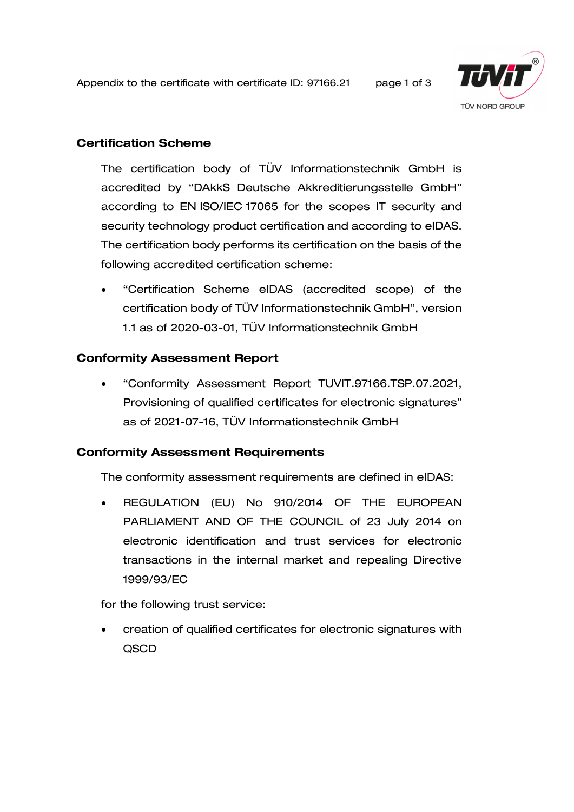<span id="page-1-0"></span>Appendix to the certificate with certificate ID: [97166.21](#page-0-0) page 1 of 3



## Certification Scheme

The certification body of TÜV Informationstechnik GmbH is accredited by "DAkkS Deutsche Akkreditierungsstelle GmbH" according to EN ISO/IEC 17065 for the scopes IT security and security technology product certification and according to eIDAS. The certification body performs its certification on the basis of the following accredited certification scheme:

• "Certification Scheme eIDAS (accredited scope) of the certification body of TÜV Informationstechnik GmbH", version 1.1 as of 2020-03-01, TÜV Informationstechnik GmbH

## Conformity Assessment Report

• "Conformity Assessment Report TUVIT[.97166.](#page-0-0)TSP.07.2021, [Provisioning of qualified certificates for electronic signatures"](#page-0-1) as of 2021-07-16, TÜV Informationstechnik GmbH

#### Conformity Assessment Requirements

The conformity assessment requirements are defined in eIDAS:

• REGULATION (EU) No 910/2014 OF THE EUROPEAN PARLIAMENT AND OF THE COUNCIL of 23 July 2014 on electronic identification and trust services for electronic transactions in the internal market and repealing Directive 1999/93/EC

for the following trust service:

• creation of qualified certificates for electronic signatures with QSCD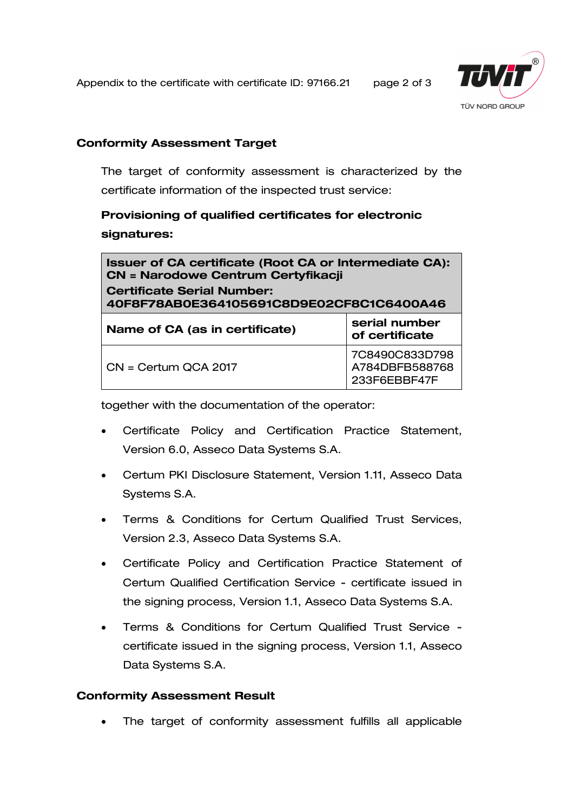Appendix to the certificate with certificate ID: [97166.21](#page-0-0) page 2 of 3



## Conformity Assessment Target

The target of conformity assessment is characterized by the certificate information of the inspected trust service:

## [Provisioning of qualified certificates for electronic](#page-0-1)  [signatures:](#page-0-1)

| Issuer of CA certificate (Root CA or Intermediate CA):<br><b>CN = Narodowe Centrum Certyfikacji</b><br><b>Certificate Serial Number:</b><br>40F8F78AB0E364105691C8D9E02CF8C1C6400A46 |                                                  |
|--------------------------------------------------------------------------------------------------------------------------------------------------------------------------------------|--------------------------------------------------|
| Name of CA (as in certificate)                                                                                                                                                       | serial number<br>of certificate                  |
| $CN =$ Certum QCA 2017                                                                                                                                                               | 7C8490C833D798<br>A784DBFB588768<br>233F6EBBF47F |

together with the documentation of the operator:

- Certificate Policy and Certification Practice Statement, Version 6.0, Asseco Data Systems S.A.
- Certum PKI Disclosure Statement, Version 1.11, Asseco Data Systems S.A.
- Terms & Conditions for Certum Qualified Trust Services, Version 2.3, Asseco Data Systems S.A.
- Certificate Policy and Certification Practice Statement of Certum Qualified Certification Service - certificate issued in the signing process, Version 1.1, Asseco Data Systems S.A.
- Terms & Conditions for Certum Qualified Trust Service certificate issued in the signing process, Version 1.1, Asseco Data Systems S.A.

## Conformity Assessment Result

The target of conformity assessment fulfills all applicable